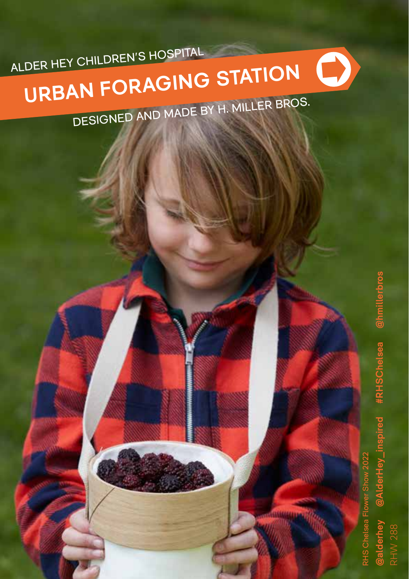ALDER HEY CHILDREN'S HOSPITAL

# $\bullet$ **URBAN FORAGING STATION** DESIGNED AND MADE BY H. MILLER BROS.

**@alderhey @AlderHey\_inspired #RHSChelsea @hmillerbros** @hmill #RHSChelsea

RHS Chelsea Flower Show 2022

RHW 288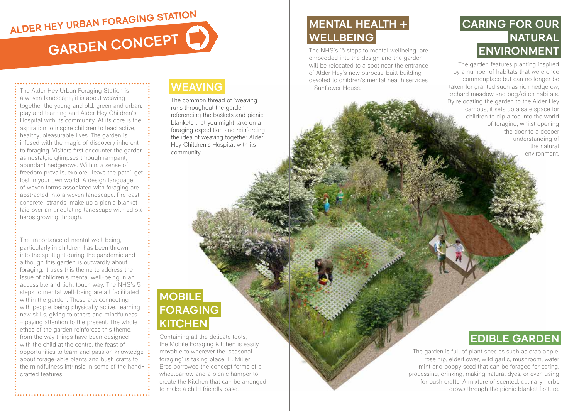# **GARDEN CONCEPT ALDER HEY URBAN FORAGING STATION**

The Alder Hey Urban Foraging Station is a woven landscape; it is about weaving together the young and old, green and urban, play and learning and Alder Hey Children's Hospital with its community. At its core is the aspiration to inspire children to lead active, healthy, pleasurable lives. The garden is infused with the magic of discovery inherent to foraging. Visitors first encounter the garden as nostalgic glimpses through rampant, abundant hedgerows. Within, a sense of freedom prevails; explore, 'leave the path', get lost in your own world. A design language of woven forms associated with foraging are abstracted into a woven landscape. Pre-cast concrete 'strands' make up a picnic blanket laid over an undulating landscape with edible herbs growing through.

The importance of mental well-being, particularly in children, has been thrown into the spotlight during the pandemic and although this garden is outwardly about foraging, it uses this theme to address the issue of children's mental well-being in an accessible and light touch way. The NHS's 5 steps to mental well-being are all facilitated within the garden. These are: connecting with people, being physically active, learning new skills, giving to others and mindfulness – paying attention to the present. The whole ethos of the garden reinforces this theme, from the way things have been designed with the child at the centre, the feast of opportunities to learn and pass on knowledge about forage-able plants and bush crafts to the mindfulness intrinsic in some of the handcrafted features.

## **WEAVING**

The common thread of 'weaving' runs throughout the garden referencing the baskets and picnic blankets that you might take on a foraging expedition and reinforcing the idea of weaving together Alder Hey Children's Hospital with its community.

# **MENTAL HEALTH + WELLBEING**

The NHS's '5 steps to mental wellbeing' are embedded into the design and the garden will be relocated to a spot near the entrance of Alder Hey's new purpose-built building devoted to children's mental health services – Sunflower House.

## **CARING FOR OUR NATURAL ENVIRONMENT**

The garden features planting inspired by a number of habitats that were once commonplace but can no longer be taken for granted such as rich hedgerow, orchard meadow and bog/ditch habitats. By relocating the garden to the Alder Hey campus, it sets up a safe space for children to dip a toe into the world of foraging, whilst opening the door to a deeper understanding of the natural environment.

# **MOBILE FORAGING KITCHEN**

Containing all the delicate tools, the Mobile Foraging Kitchen is easily movable to wherever the 'seasonal foraging' is taking place. H. Miller Bros borrowed the concept forms of a wheelbarrow and a picnic hamper to create the Kitchen that can be arranged to make a child friendly base.

# **EDIBLE GARDEN**

The garden is full of plant species such as crab apple, rose hip, elderflower, wild garlic, mushroom, water mint and poppy seed that can be foraged for eating, processing, drinking, making natural dyes, or even using for bush crafts. A mixture of scented, culinary herbs grows through the picnic blanket feature.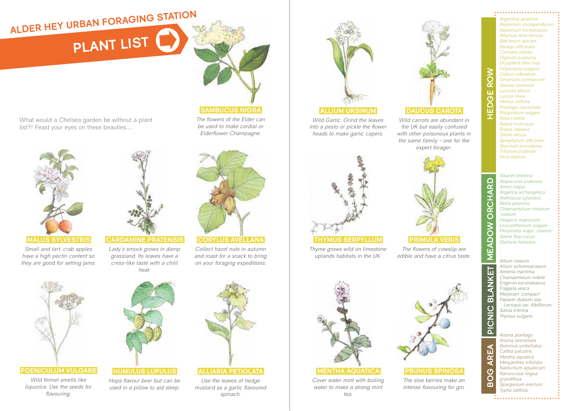# **FLANT LIST ALDER HEY URBAN FORAGING STATION**

What would a Chelsea garden be without a plant list?! Feast your eyes on these beauties.....





**MALUS SYLVESTRIS**

*Small and tart, crab apples have a high pectin content so they are good for setting jams.*

*Wild fennel smells like liquorice. Use the seeds for flavouring.*



*Lady's smock grows in damp grassland. Its leaves have a cress-like taste with a chilli heat.*



**SAMBUCUS NIGRA** *The flowers of the Elder can be used to make cordial or Elderflower Champagne.*

**CORYLUS AVELLANA** 

*Collect hazel nuts in autumn and roast for a snack to bring on your foraging expeditions.*



*Wild Garlic. Grind the leaves into a pesto or pickle the flower heads to make garlic capers.*



**THYMUS SERPYLLUM**

**MENTHA AQUATICA** *Cover water mint with boiling water to make a strong mint tea.*

*Thyme grows wild on limestone uplands habitats in the UK.* 



**DAUCUS CAROTA** *Wild carrots are abundant in the UK but easily confused with other poisonous plants in the same family - one for the expert forager.*

*edible and have a citrus taste.*



#### **PRUNUS SPINOSA**

*The sloe berries make an intense flavouring for gin.* 

*Argentina anserina Asplenium scolopendulum Asplenium trichomanes Athyrium felix-femina Belchnum spicant Borago officinalis Clematis vitalba Digitalis purpurea Dryopteris felix mas Filipendula vulgaris Galium odoratum Geranium pyrenaicum Jasione montana Lamium album Luzula nivea Melica uniflora Plantago lanceolata Polypodium vulgare Rosa canina Rubus fruticosus Rubus idaeous Silene diocia Symphytum officinale Teucrium scorodonia Trifolium pratense Vicia sepium*

**HEDGE ROW**

Õ  $\alpha$ m  $\mathcal{O}$ 

**MEADOW ORCHARD**

◠  $\overline{\alpha}$  $\blacktriangleleft$ 舌  $\tilde{\alpha}$  $\overline{\Omega}$  $rac{8}{2}$ Ŏ  $\overline{\mathbf{S}}$ ≅  $\overline{\textbf{Y}}$ ₹<br>₹  $\overline{m}$  $\overline{C}$  $\bar{z}$ ā

**..BOG AREA.. PICNIC BLANKET**

 $\blacktriangleleft$ m  $\alpha$  $\blacktriangleleft$  $\circ$ Ŏ ന

*Alkanet tinctoria Alopecurus pratensis Ammi majus Angelica archangelica Anthriscus sylvestris Bellis perennis Chaerophyllum hirsutum 'roseum Hesperis matronalis Leucanthemum vulgare Pimpinella major 'roseum' Silene flos-cuculi Stellaria holostea*

*Allium roseum Allium schoenoprasum Armeria maritima Chamaemelum nobile Erigeron karvinskianus Fragaria vesca Marjoram 'compact' Papaver dubium ssp. Lecoquii var. Albiflorum Salvia icterina Thymus vulgaris*

*Alisma plantago Alisma lanceolata Butomus umbellatus Caltha palustris Mentha aquatica Menyanthes trifoliata Nasturtium aquaticum Ranunculus lingua grandiflora Sparganium erectum Typha latifolia*

# **FOENICULUM VULGARE HUMULUS LUPULUS**

### *Hops flavour beer but can be used in a pillow to aid sleep.*

*Use the leaves of hedge mustard as a garlic flavoured spinach.*



### **ALLIARIA PETIOLATA**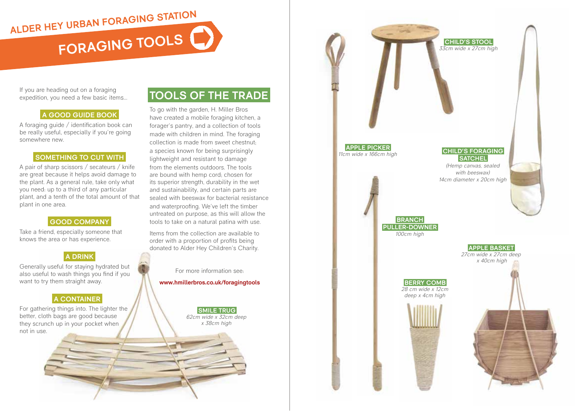**FORAGING TOOLS ALDER HEY URBAN FORAGING STATION**

If you are heading out on a foraging expedition, you need a few basic items...

#### **A GOOD GUIDE BOOK**

A foraging guide / identification book can be really useful, especially if you're going somewhere new.

### **SOMETHING TO CUT WITH**

A pair of sharp scissors / secateurs / knife are great because it helps avoid damage to the plant. As a general rule, take only what you need: up to a third of any particular plant, and a tenth of the total amount of that plant in one area.

### **GOOD COMPANY**

Take a friend, especially someone that knows the area or has experience.

### **A DRINK**

Generally useful for staying hydrated but also useful to wash things you find if you want to try them straight away.

### **A CONTAINER**

For gathering things into. The lighter the better, cloth bags are good because they scrunch up in your pocket when not in use.

### **TOOLS OF THE TRADE**

To go with the garden, H. Miller Bros have created a mobile foraging kitchen, a forager's pantry, and a collection of tools made with children in mind. The foraging collection is made from sweet chestnut; a species known for being surprisingly lightweight and resistant to damage from the elements outdoors. The tools are bound with hemp cord; chosen for its superior strength, durability in the wet and sustainability, and certain parts are sealed with beeswax for bacterial resistance and waterproofing. We've left the timber untreated on purpose, as this will allow the tools to take on a natural patina with use.

Items from the collection are available to order with a proportion of profits being donated to Alder Hey Children's Charity.

For more information see: **www.hmillerbros.co.uk/foragingtools**

> **SMILE TRUG** *62cm wide x 32cm deep x 38cm high*

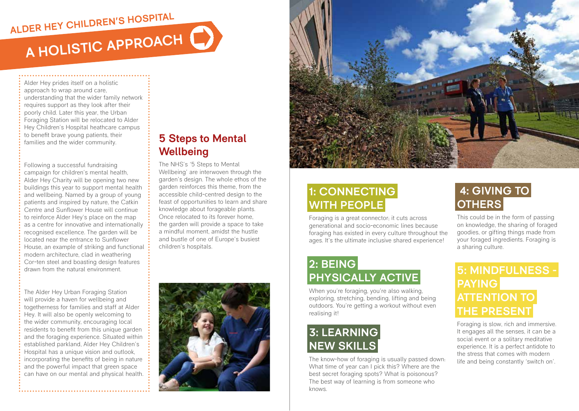# **A HOLISTIC APPROACH ALDER HEY CHILDREN'S HOSPITAL**

Alder Hey prides itself on a holistic approach to wrap around care, understanding that the wider family network requires support as they look after their poorly child. Later this year, the Urban Foraging Station will be relocated to Alder Hey Children's Hospital heathcare campus to benefit brave young patients, their families and the wider community.

Following a successful fundraising campaign for children's mental health, Alder Hey Charity will be opening two new buildings this year to support mental health and wellbeing. Named by a group of young patients and inspired by nature, the Catkin Centre and Sunflower House will continue to reinforce Alder Hey's place on the map as a centre for innovative and internationally recognised excellence. The garden will be located near the entrance to Sunflower House, an example of striking and functional modern architecture, clad in weathering Cor-ten steel and boasting design features drawn from the natural environment.

The Alder Hey Urban Foraging Station will provide a haven for wellbeing and togetherness for families and staff at Alder Hey. It will also be openly welcoming to the wider community, encouraging local residents to benefit from this unique garden and the foraging experience. Situated within established parkland, Alder Hey Children's Hospital has a unique vision and outlook, incorporating the benefits of being in nature and the powerful impact that green space can have on our mental and physical health.

### **5 Steps to Mental Wellbeing**

The NHS's '5 Steps to Mental Wellbeing' are interwoven through the garden's design. The whole ethos of the garden reinforces this theme, from the accessible child-centred design to the feast of opportunities to learn and share knowledge about forageable plants. Once relocated to its forever home, the garden will provide a space to take a mindful moment, amidst the hustle and bustle of one of Europe's busiest children's hospitals.





# **1: CONNECTING WITH PEOPLE**

Foraging is a great connector; it cuts across generational and socio-economic lines because foraging has existed in every culture throughout the ages. It's the ultimate inclusive shared experience!

# **2: BEING PHYSICALLY ACTIVE**

When you're foraging, you're also walking, exploring, stretching, bending, lifting and being outdoors. You're getting a workout without even realising it!

# **3: LEARNING NEW SKILLS**

The know-how of foraging is usually passed down: What time of year can I pick this? Where are the best secret foraging spots? What is poisonous? The best way of learning is from someone who knows.

# **4: GIVING TO OTHERS**

This could be in the form of passing on knowledge, the sharing of foraged goodies, or gifting things made from your foraged ingredients. Foraging is a sharing culture.

## **5: MINDFULNESS - PAYING ATTENTION TO THE PRESENT**

Foraging is slow, rich and immersive. It engages all the senses, it can be a social event or a solitary meditative experience. It is a perfect antidote to the stress that comes with modern life and being constantly 'switch on'.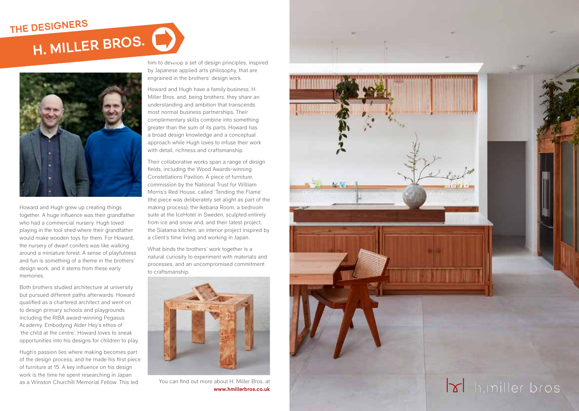



Howard and Hugh grew up creating things together. A huge influence was their grandfather who had a commercial nursery. Hugh loved playing in the tool shed where their grandfather would make wooden toys for them. For Howard, the nursery of dwarf conifers was like walking around a miniature forest. A sense of playfulness and fun is something of a theme in the brothers' design work, and it stems from these early memories.

Both brothers studied architecture at university but pursued different paths afterwards: Howard qualified as a chartered architect and went on to design primary schools and playgrounds including the RIBA award-winning Pegasus Academy. Embodying Alder Hey's ethos of 'the child at the centre', Howard loves to sneak opportunities into his designs for children to play.

Hugh's passion lies where making becomes part of the design process, and he made his first piece of furniture at 15. A key influence on his design work is the time he spent researching in Japan as a Winston Churchill Memorial Fellow. This led

him to develop a set of design principles, inspired by Japanese applied arts philosophy, that are engrained in the brothers' design work.

Howard and Hugh have a family business, H. Miller Bros. and, being brothers, they share an understanding and ambition that transcends most normal business partnerships. Their complementary skills combine into something greater than the sum of its parts. Howard has a broad design knowledge and a conceptual approach while Hugh loves to infuse their work with detail, richness and craftsmanship.

Their collaborative works span a range of design fields, including the Wood Awards-winning Constellations Pavilion; A piece of furniture, commission by the National Trust for William Morris's Red House, called 'Tending the Flame' (the piece was deliberately set alight as part of the making process); the Ikebana Room, a bedroom suite at the IceHotel in Sweden, sculpted entirely from ice and snow and; and their latest project, the Siatama kitchen, an interior project inspired by a client's time living and working in Japan.

What binds the brothers' work together is a natural curiosity to experiment with materials and processes, and an uncompromised commitment to craftsmanship.



You can find out more about H. Miller Bros. at **www.hmillerbros.co.uk**

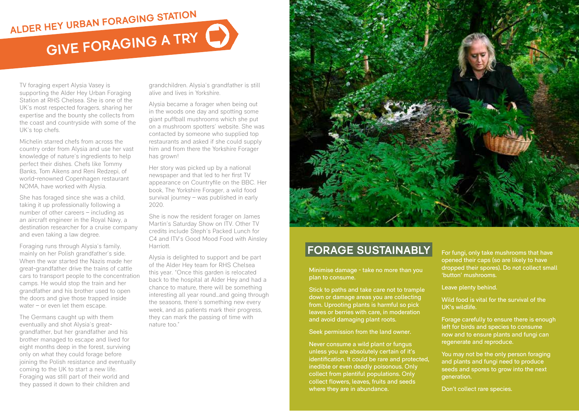# **GIVE FORAGING A TRY ALDER HEY URBAN FORAGING STATION**

TV foraging expert Alysia Vasey is supporting the Alder Hey Urban Foraging Station at RHS Chelsea. She is one of the UK's most respected foragers, sharing her expertise and the bounty she collects from the coast and countryside with some of the UK's top chefs.

Michelin starred chefs from across the country order from Alysia and use her vast knowledge of nature's ingredients to help perfect their dishes. Chefs like Tommy Banks, Tom Aikens and Reni Redzepi, of world-renowned Copenhagen restaurant NOMA, have worked with Alysia.

She has foraged since she was a child, taking it up professionally following a number of other careers – including as an aircraft engineer in the Royal Navy, a destination researcher for a cruise company and even taking a law degree.

Foraging runs through Alysia's family, mainly on her Polish grandfather's side. When the war started the Nazis made her great-grandfather drive the trains of cattle cars to transport people to the concentration camps. He would stop the train and her grandfather and his brother used to open the doors and give those trapped inside water – or even let them escape.

The Germans caught up with them eventually and shot Alysia's greatgrandfather, but her grandfather and his brother managed to escape and lived for eight months deep in the forest, surviving only on what they could forage before joining the Polish resistance and eventually coming to the UK to start a new life. Foraging was still part of their world and they passed it down to their children and

grandchildren. Alysia's grandfather is still alive and lives in Yorkshire.

Alysia became a forager when being out in the woods one day and spotting some giant puffball mushrooms which she put on a mushroom spotters' website. She was contacted by someone who supplied top restaurants and asked if she could supply him and from there the Yorkshire Forager has grown!

Her story was picked up by a national newspaper and that led to her first TV appearance on Countryfile on the BBC. Her book, The Yorkshire Forager, a wild food survival journey – was published in early 2020.

She is now the resident forager on James Martin's Saturday Show on ITV. Other TV credits include Steph's Packed Lunch for C4 and ITV's Good Mood Food with Ainsley Harriott.

Alysia is delighted to support and be part of the Alder Hey team for RHS Chelsea this year. "Once this garden is relocated back to the hospital at Alder Hey and had a chance to mature, there will be something interesting all year round…and going through the seasons, there's something new every week, and as patients mark their progress, they can mark the passing of time with nature too."



### **FORAGE SUSTAINABLY FORAGE SUSTAINABLY**

Minimise damage - take no more than you plan to consume.

Stick to paths and take care not to trample down or damage areas you are collecting from. Uprooting plants is harmful so pick leaves or berries with care, in moderation and avoid damaging plant roots.

#### Seek permission from the land owner.

Never consume a wild plant or fungus unless you are absolutely certain of it's identification. It could be rare and protected, inedible or even deadly poisonous. Only collect from plentiful populations. Only collect flowers, leaves, fruits and seeds where they are in abundance.

For fungi, only take mushrooms that have opened their caps (so are likely to have dropped their spores). Do not collect small 'button' mushrooms.

#### Leave plenty behind.

Wild food is vital for the survival of the UK's wildlife.

Forage carefully to ensure there is enough left for birds and species to consume now and to ensure plants and fungi can regenerate and reproduce.

You may not be the only person foraging and plants and fungi need to produce seeds and spores to grow into the next generation.

Don't collect rare species.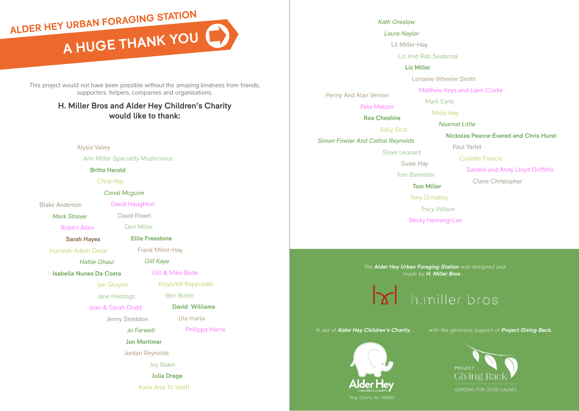**A HUGE THANKYOU A HUGE THANK YOUALDER HEY URBAN FORAGING STATION**

This project would not have been possible without the amazing kindness from friends, supporters, helpers, companies and organisations.

### **H. Miller Bros and Alder Hey Children's Charity would like to thank:**

Alysia Vasey

Ann Miller Speciality Mushrooms

**Britta Herold**

Chris Hay

*Conal Mcguire*

Blake Anderson

Robert Allen

*Mark Straver*

David Powel Dori Miller

David Haughton

**Sarah Hayes**

Hamzah-Adam Desai

*Hattie Ghaui* 

**Isabella Nunes Da Costa**

Jan Shaylor Jane Hastings

Jean & Sarah Dodd

Jenny Sneddon

*Jo Farwell*

**Jon Mortimer**

Joy Baker

**Julia Drage**

Karin And Til Wolff

*Kath Greslow*

*Laura Naylor*

Lil Miller-Hay

Liz And Rob Seabrook

### **Liz Miller**

Lorraine Wheeler Smith

Mark Earle Misty Hay

Matthew Keys and Liam Clarke

Penny And Alan Vernon

Pete Matzen

**Ros Cheshire** Sally Scot *Simon Fowler And Cathal Reynolds* Steve Leonard Susie Hay

Tom Bannister

**Tom Miller**

Tony O'malley

*Tracy Wilson*

Becky Henning-Lee

*Naamat Little* **Nickolas Pearce-Evered and Chris Hurst**  Paul Yarlet Collette Francis Sandra and Andy Lloyd Griffiths Claire Christopher

*The Alder Hey Urban Foraging Station was designed and made by H. Miller Bros.....*

h.miller bros







*Gill Kaye* Gill & Mike Bode

Frank Miller-Hay

**Ellie Freestone**

Krzysztof Kopycinski

Ben Butler

**David Williams** 

Ula maria

Philippa Harris

Jordan Reynolds